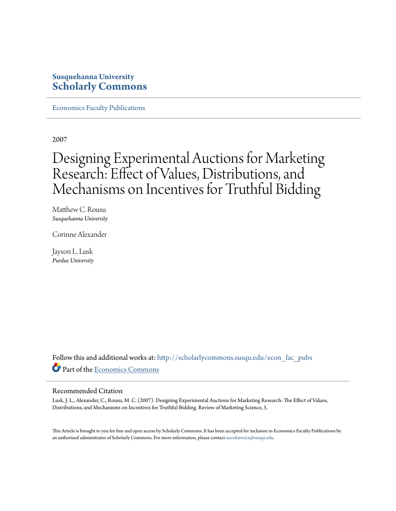## **Susquehanna University [Scholarly Commons](http://scholarlycommons.susqu.edu?utm_source=scholarlycommons.susqu.edu%2Fecon_fac_pubs%2F4&utm_medium=PDF&utm_campaign=PDFCoverPages)**

[Economics Faculty Publications](http://scholarlycommons.susqu.edu/econ_fac_pubs?utm_source=scholarlycommons.susqu.edu%2Fecon_fac_pubs%2F4&utm_medium=PDF&utm_campaign=PDFCoverPages)

2007

# Designing Experimental Auctions for Marketing Research: Effect of Values, Distributions, and Mechanisms on Incentives for Truthful Bidding

Matthew C. Rousu *Susquehanna University*

Corinne Alexander

Jayson L. Lusk *Purdue University*

Follow this and additional works at: [http://scholarlycommons.susqu.edu/econ\\_fac\\_pubs](http://scholarlycommons.susqu.edu/econ_fac_pubs?utm_source=scholarlycommons.susqu.edu%2Fecon_fac_pubs%2F4&utm_medium=PDF&utm_campaign=PDFCoverPages) Part of the [Economics Commons](http://network.bepress.com/hgg/discipline/340?utm_source=scholarlycommons.susqu.edu%2Fecon_fac_pubs%2F4&utm_medium=PDF&utm_campaign=PDFCoverPages)

#### Recommended Citation

Lusk, J. L., Alexander, C., Rousu, M. C. (2007). Designing Experimental Auctions for Marketing Research: The Effect of Values, Distributions, and Mechanisms on Incentives for Truthful Bidding. Review of Marketing Science, 5.

This Article is brought to you for free and open access by Scholarly Commons. It has been accepted for inclusion in Economics Faculty Publications by an authorized administrator of Scholarly Commons. For more information, please contact [sieczkiewicz@susqu.edu.](mailto:sieczkiewicz@susqu.edu)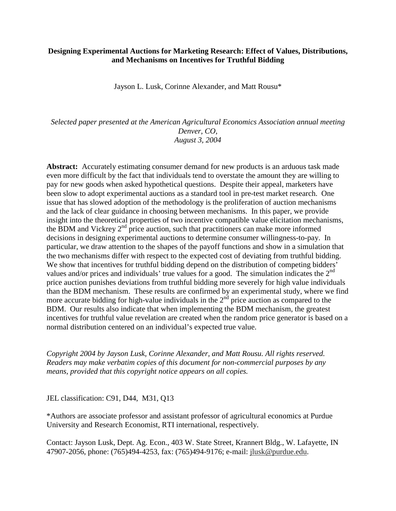#### **Designing Experimental Auctions for Marketing Research: Effect of Values, Distributions, and Mechanisms on Incentives for Truthful Bidding**

Jayson L. Lusk, Corinne Alexander, and Matt Rousu\*

*Selected paper presented at the American Agricultural Economics Association annual meeting Denver, CO, August 3, 2004*

**Abstract:** Accurately estimating consumer demand for new products is an arduous task made even more difficult by the fact that individuals tend to overstate the amount they are willing to pay for new goods when asked hypothetical questions. Despite their appeal, marketers have been slow to adopt experimental auctions as a standard tool in pre-test market research. One issue that has slowed adoption of the methodology is the proliferation of auction mechanisms and the lack of clear guidance in choosing between mechanisms. In this paper, we provide insight into the theoretical properties of two incentive compatible value elicitation mechanisms, the BDM and Vickrey 2<sup>nd</sup> price auction, such that practitioners can make more informed decisions in designing experimental auctions to determine consumer willingness-to-pay. In particular, we draw attention to the shapes of the payoff functions and show in a simulation that the two mechanisms differ with respect to the expected cost of deviating from truthful bidding. We show that incentives for truthful bidding depend on the distribution of competing bidders' values and/or prices and individuals' true values for a good. The simulation indicates the  $2<sup>nd</sup>$ price auction punishes deviations from truthful bidding more severely for high value individuals than the BDM mechanism. These results are confirmed by an experimental study, where we find more accurate bidding for high-value individuals in the  $2<sup>nd</sup>$  price auction as compared to the BDM. Our results also indicate that when implementing the BDM mechanism, the greatest incentives for truthful value revelation are created when the random price generator is based on a normal distribution centered on an individual's expected true value.

*Copyright 2004 by Jayson Lusk, Corinne Alexander, and Matt Rousu. All rights reserved. Readers may make verbatim copies of this document for non-commercial purposes by any means, provided that this copyright notice appears on all copies.*

JEL classification: C91, D44, M31, Q13

\*Authors are associate professor and assistant professor of agricultural economics at Purdue University and Research Economist, RTI international, respectively.

Contact: Jayson Lusk, Dept. Ag. Econ., 403 W. State Street, Krannert Bldg., W. Lafayette, IN 47907-2056, phone: (765)494-4253, fax: (765)494-9176; e-mail: jlusk@purdue.edu.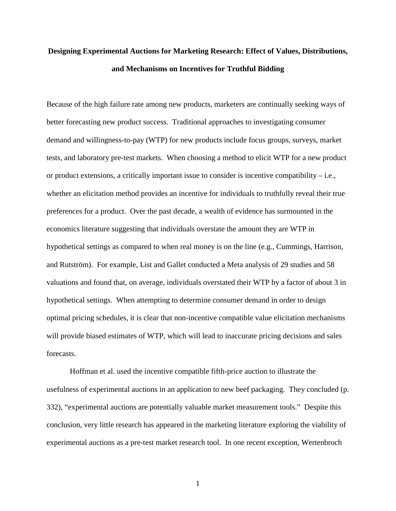## **Designing Experimental Auctions for Marketing Research: Effect of Values, Distributions, and Mechanisms on Incentives for Truthful Bidding**

Because of the high failure rate among new products, marketers are continually seeking ways of better forecasting new product success. Traditional approaches to investigating consumer demand and willingness-to-pay (WTP) for new products include focus groups, surveys, market tests, and laboratory pre-test markets. When choosing a method to elicit WTP for a new product or product extensions, a critically important issue to consider is incentive compatibility – i.e., whether an elicitation method provides an incentive for individuals to truthfully reveal their true preferences for a product. Over the past decade, a wealth of evidence has surmounted in the economics literature suggesting that individuals overstate the amount they are WTP in hypothetical settings as compared to when real money is on the line (e.g., Cummings, Harrison, and Rutström). For example, List and Gallet conducted a Meta analysis of 29 studies and 58 valuations and found that, on average, individuals overstated their WTP by a factor of about 3 in hypothetical settings. When attempting to determine consumer demand in order to design optimal pricing schedules, it is clear that non-incentive compatible value elicitation mechanisms will provide biased estimates of WTP, which will lead to inaccurate pricing decisions and sales forecasts.

 Hoffman et al. used the incentive compatible fifth-price auction to illustrate the usefulness of experimental auctions in an application to new beef packaging. They concluded (p. 332), "experimental auctions are potentially valuable market measurement tools." Despite this conclusion, very little research has appeared in the marketing literature exploring the viability of experimental auctions as a pre-test market research tool. In one recent exception, Wertenbroch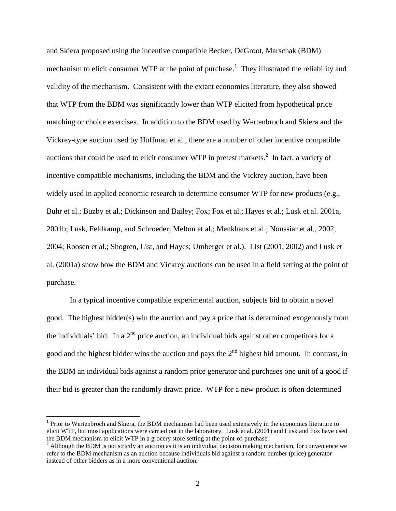and Skiera proposed using the incentive compatible Becker, DeGroot, Marschak (BDM) mechanism to elicit consumer WTP at the point of purchase.<sup>1</sup> They illustrated the reliability and validity of the mechanism. Consistent with the extant economics literature, they also showed that WTP from the BDM was significantly lower than WTP elicited from hypothetical price matching or choice exercises. In addition to the BDM used by Wertenbroch and Skiera and the Vickrey-type auction used by Hoffman et al., there are a number of other incentive compatible auctions that could be used to elicit consumer WTP in pretest markets. $^2$  In fact, a variety of incentive compatible mechanisms, including the BDM and the Vickrey auction, have been widely used in applied economic research to determine consumer WTP for new products (e.g., Buhr et al.; Buzby et al.; Dickinson and Bailey; Fox; Fox et al.; Hayes et al.; Lusk et al. 2001a, 2001b; Lusk, Feldkamp, and Schroeder; Melton et al.; Menkhaus et al.; Noussiar et al., 2002, 2004; Roosen et al.; Shogren, List, and Hayes; Umberger et al.). List (2001, 2002) and Lusk et al. (2001a) show how the BDM and Vickrey auctions can be used in a field setting at the point of purchase.

 In a typical incentive compatible experimental auction, subjects bid to obtain a novel good. The highest bidder(s) win the auction and pay a price that is determined exogenously from the individuals' bid. In a  $2<sup>nd</sup>$  price auction, an individual bids against other competitors for a good and the highest bidder wins the auction and pays the  $2<sup>nd</sup>$  highest bid amount. In contrast, in the BDM an individual bids against a random price generator and purchases one unit of a good if their bid is greater than the randomly drawn price. WTP for a new product is often determined

 $\overline{a}$ 

<sup>&</sup>lt;sup>1</sup> Prior to Wertenbroch and Skiera, the BDM mechanism had been used extensively in the economics literature to elicit WTP, but most applications were carried out in the laboratory. Lusk et al. (2001) and Lusk and Fox have used the BDM mechanism to elicit WTP in a grocery store setting at the point-of-purchase.

 $2$  Although the BDM is not strictly an auction as it is an individual decision making mechanism, for convenience we refer to the BDM mechanism as an auction because individuals bid against a random number (price) generator instead of other bidders as in a more conventional auction.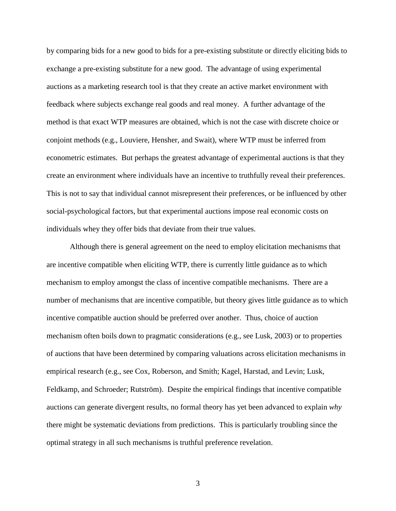by comparing bids for a new good to bids for a pre-existing substitute or directly eliciting bids to exchange a pre-existing substitute for a new good. The advantage of using experimental auctions as a marketing research tool is that they create an active market environment with feedback where subjects exchange real goods and real money. A further advantage of the method is that exact WTP measures are obtained, which is not the case with discrete choice or conjoint methods (e.g., Louviere, Hensher, and Swait), where WTP must be inferred from econometric estimates. But perhaps the greatest advantage of experimental auctions is that they create an environment where individuals have an incentive to truthfully reveal their preferences. This is not to say that individual cannot misrepresent their preferences, or be influenced by other social-psychological factors, but that experimental auctions impose real economic costs on individuals whey they offer bids that deviate from their true values.

Although there is general agreement on the need to employ elicitation mechanisms that are incentive compatible when eliciting WTP, there is currently little guidance as to which mechanism to employ amongst the class of incentive compatible mechanisms. There are a number of mechanisms that are incentive compatible, but theory gives little guidance as to which incentive compatible auction should be preferred over another. Thus, choice of auction mechanism often boils down to pragmatic considerations (e.g., see Lusk, 2003) or to properties of auctions that have been determined by comparing valuations across elicitation mechanisms in empirical research (e.g., see Cox, Roberson, and Smith; Kagel, Harstad, and Levin; Lusk, Feldkamp, and Schroeder; Rutström). Despite the empirical findings that incentive compatible auctions can generate divergent results, no formal theory has yet been advanced to explain *why* there might be systematic deviations from predictions. This is particularly troubling since the optimal strategy in all such mechanisms is truthful preference revelation.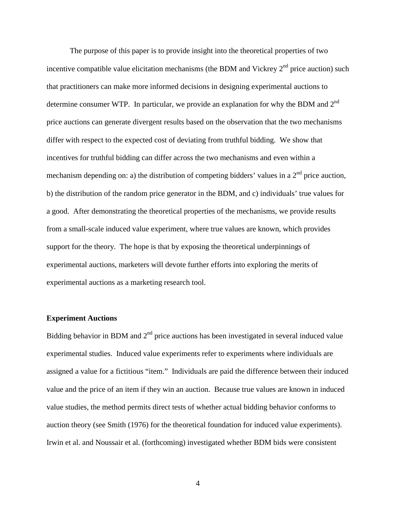The purpose of this paper is to provide insight into the theoretical properties of two incentive compatible value elicitation mechanisms (the BDM and Vickrey  $2<sup>nd</sup>$  price auction) such that practitioners can make more informed decisions in designing experimental auctions to determine consumer WTP. In particular, we provide an explanation for why the BDM and 2<sup>nd</sup> price auctions can generate divergent results based on the observation that the two mechanisms differ with respect to the expected cost of deviating from truthful bidding. We show that incentives for truthful bidding can differ across the two mechanisms and even within a mechanism depending on: a) the distribution of competing bidders' values in a  $2<sup>nd</sup>$  price auction, b) the distribution of the random price generator in the BDM, and c) individuals' true values for a good. After demonstrating the theoretical properties of the mechanisms, we provide results from a small-scale induced value experiment, where true values are known, which provides support for the theory. The hope is that by exposing the theoretical underpinnings of experimental auctions, marketers will devote further efforts into exploring the merits of experimental auctions as a marketing research tool.

#### **Experiment Auctions**

Bidding behavior in BDM and  $2<sup>nd</sup>$  price auctions has been investigated in several induced value experimental studies. Induced value experiments refer to experiments where individuals are assigned a value for a fictitious "item." Individuals are paid the difference between their induced value and the price of an item if they win an auction. Because true values are known in induced value studies, the method permits direct tests of whether actual bidding behavior conforms to auction theory (see Smith (1976) for the theoretical foundation for induced value experiments). Irwin et al. and Noussair et al. (forthcoming) investigated whether BDM bids were consistent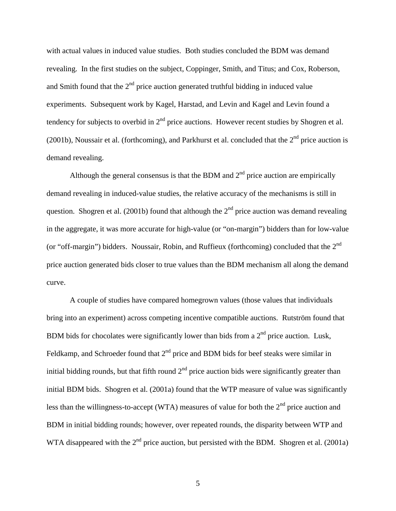with actual values in induced value studies. Both studies concluded the BDM was demand revealing. In the first studies on the subject, Coppinger, Smith, and Titus; and Cox, Roberson, and Smith found that the  $2<sup>nd</sup>$  price auction generated truthful bidding in induced value experiments. Subsequent work by Kagel, Harstad, and Levin and Kagel and Levin found a tendency for subjects to overbid in  $2<sup>nd</sup>$  price auctions. However recent studies by Shogren et al. (2001b), Noussair et al. (forthcoming), and Parkhurst et al. concluded that the  $2<sup>nd</sup>$  price auction is demand revealing.

Although the general consensus is that the BDM and  $2<sup>nd</sup>$  price auction are empirically demand revealing in induced-value studies, the relative accuracy of the mechanisms is still in question. Shogren et al. (2001b) found that although the  $2<sup>nd</sup>$  price auction was demand revealing in the aggregate, it was more accurate for high-value (or "on-margin") bidders than for low-value (or "off-margin") bidders. Noussair, Robin, and Ruffieux (forthcoming) concluded that the  $2<sup>nd</sup>$ price auction generated bids closer to true values than the BDM mechanism all along the demand curve.

A couple of studies have compared homegrown values (those values that individuals bring into an experiment) across competing incentive compatible auctions. Rutström found that BDM bids for chocolates were significantly lower than bids from a  $2<sup>nd</sup>$  price auction. Lusk, Feldkamp, and Schroeder found that  $2<sup>nd</sup>$  price and BDM bids for beef steaks were similar in initial bidding rounds, but that fifth round  $2<sup>nd</sup>$  price auction bids were significantly greater than initial BDM bids. Shogren et al. (2001a) found that the WTP measure of value was significantly less than the willingness-to-accept (WTA) measures of value for both the  $2<sup>nd</sup>$  price auction and BDM in initial bidding rounds; however, over repeated rounds, the disparity between WTP and WTA disappeared with the  $2<sup>nd</sup>$  price auction, but persisted with the BDM. Shogren et al. (2001a)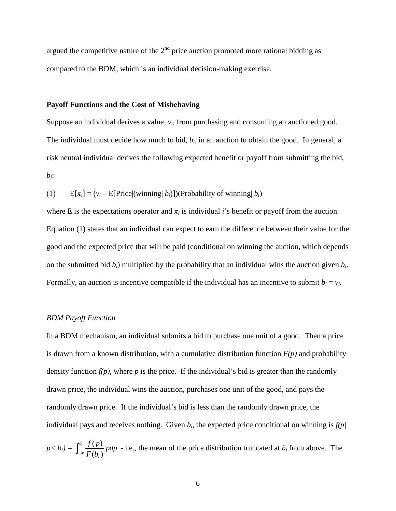argued the competitive nature of the  $2<sup>nd</sup>$  price auction promoted more rational bidding as compared to the BDM, which is an individual decision-making exercise.

#### **Payoff Functions and the Cost of Misbehaving**

Suppose an individual derives a value, *vi*, from purchasing and consuming an auctioned good. The individual must decide how much to bid, *bi*, in an auction to obtain the good. In general, a risk neutral individual derives the following expected benefit or payoff from submitting the bid, *bi*:

(1)  $E[\pi_i] = (v_i - E[Price | (winning | b_i)])(Probability of winning | b_i)$ 

where E is the expectations operator and  $\pi$ *i* is individual *i*'s benefit or payoff from the auction. Equation (1) states that an individual can expect to earn the difference between their value for the good and the expected price that will be paid (conditional on winning the auction, which depends on the submitted bid *bi*) multiplied by the probability that an individual wins the auction given *bi*. Formally, an auction is incentive compatible if the individual has an incentive to submit  $b_i = v_i$ .

#### *BDM Payoff Function*

In a BDM mechanism, an individual submits a bid to purchase one unit of a good. Then a price is drawn from a known distribution, with a cumulative distribution function  $F(p)$  and probability density function  $f(p)$ , where  $p$  is the price. If the individual's bid is greater than the randomly drawn price, the individual wins the auction, purchases one unit of the good, and pays the randomly drawn price. If the individual's bid is less than the randomly drawn price, the individual pays and receives nothing. Given  $b_i$ , the expected price conditional on winning is  $f(p)$ 

$$
p < b_i = \int_{-\infty}^{b_i} \frac{f(p)}{F(b_i)} \, p \, dp
$$
 - i.e., the mean of the price distribution truncated at  $b_i$  from above. The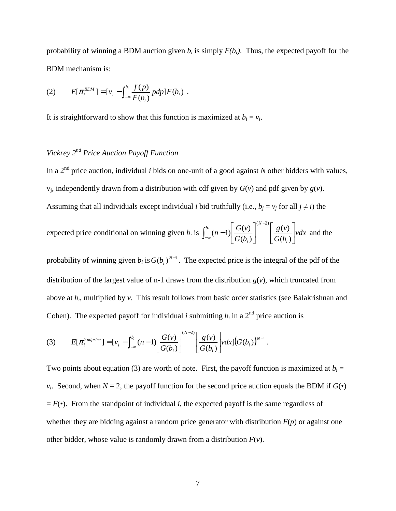probability of winning a BDM auction given  $b_i$  is simply  $F(b_i)$ . Thus, the expected payoff for the BDM mechanism is:

(2) 
$$
E[\pi_i^{BDM}] = [v_i - \int_{-\infty}^{b_i} \frac{f(p)}{F(b_i)} p dp] F(b_i) .
$$

It is straightforward to show that this function is maximized at  $b_i = v_i$ .

## *Vickrey 2nd Price Auction Payoff Function*

In a 2nd price auction, individual *i* bids on one-unit of a good against *N* other bidders with values,  $v_i$ , independently drawn from a distribution with cdf given by  $G(v)$  and pdf given by  $g(v)$ . Assuming that all individuals except individual *i* bid truthfully (i.e.,  $b_i = v_j$  for all  $j \neq i$ ) the

expected price conditional on winning given 
$$
b_i
$$
 is  $\int_{-\infty}^{b_i} (n-1) \left[ \frac{G(v)}{G(b_i)} \right]^{(N-2)} \left[ \frac{g(v)}{G(b_i)} \right] v dx$  and the

probability of winning given  $b_i$  is  $G(b_i)^{N-1}$ . The expected price is the integral of the pdf of the distribution of the largest value of n-1 draws from the distribution  $g(v)$ , which truncated from above at *bi*, multiplied by *v*. This result follows from basic order statistics (see Balakrishnan and Cohen). The expected payoff for individual *i* submitting  $b_i$  in a 2<sup>nd</sup> price auction is

(3) 
$$
E[\pi_i^{2ndprice}] = [v_i - \int_{-\infty}^{b_i} (n-1) \left[ \frac{G(v)}{G(b_i)} \right]^{(N-2)} \left[ \frac{g(v)}{G(b_i)} \right] v dx] (G(b_i))^{N-1}.
$$

Two points about equation (3) are worth of note. First, the payoff function is maximized at  $b_i$  = *v<sub>i</sub>*. Second, when  $N = 2$ , the payoff function for the second price auction equals the BDM if  $G(\cdot)$  $= F(\bullet)$ . From the standpoint of individual *i*, the expected payoff is the same regardless of whether they are bidding against a random price generator with distribution *F*(*p*) or against one other bidder, whose value is randomly drawn from a distribution *F*(*v*).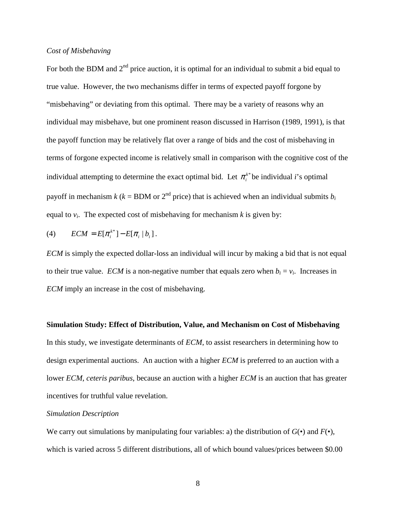#### *Cost of Misbehaving*

For both the BDM and  $2<sup>nd</sup>$  price auction, it is optimal for an individual to submit a bid equal to true value. However, the two mechanisms differ in terms of expected payoff forgone by "misbehaving" or deviating from this optimal. There may be a variety of reasons why an individual may misbehave, but one prominent reason discussed in Harrison (1989, 1991), is that the payoff function may be relatively flat over a range of bids and the cost of misbehaving in terms of forgone expected income is relatively small in comparison with the cognitive cost of the individual attempting to determine the exact optimal bid. Let  $\pi_i^{k*}$  be individual *i*'s optimal payoff in mechanism  $k$  ( $k = BDM$  or  $2<sup>nd</sup>$  price) that is achieved when an individual submits  $b<sub>i</sub>$ equal to  $v_i$ . The expected cost of misbehaving for mechanism  $k$  is given by:

(4) 
$$
ECM = E[\pi_i^{k^*}] - E[\pi_i | b_i].
$$

*ECM* is simply the expected dollar-loss an individual will incur by making a bid that is not equal to their true value. *ECM* is a non-negative number that equals zero when  $b_i = v_i$ . Increases in *ECM* imply an increase in the cost of misbehaving.

## **Simulation Study: Effect of Distribution, Value, and Mechanism on Cost of Misbehaving**

In this study, we investigate determinants of *ECM*, to assist researchers in determining how to design experimental auctions. An auction with a higher *ECM* is preferred to an auction with a lower *ECM*, *ceteris paribus*, because an auction with a higher *ECM* is an auction that has greater incentives for truthful value revelation.

#### *Simulation Description*

We carry out simulations by manipulating four variables: a) the distribution of  $G(\bullet)$  and  $F(\bullet)$ , which is varied across 5 different distributions, all of which bound values/prices between \$0.00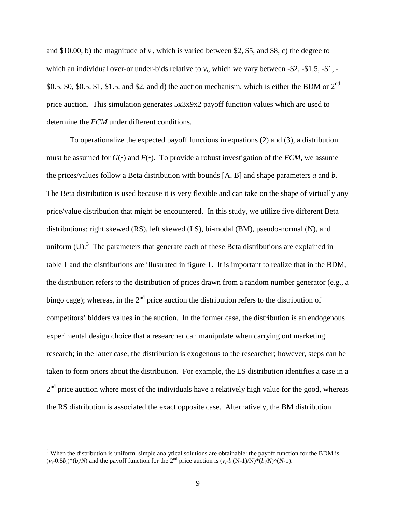and \$10.00, b) the magnitude of  $v_i$ , which is varied between \$2, \$5, and \$8, c) the degree to which an individual over-or under-bids relative to  $v_i$ , which we vary between -\$2, -\$1.5, -\$1, -\$0.5, \$0, \$0.5, \$1, \$1.5, and \$2, and d) the auction mechanism, which is either the BDM or  $2<sup>nd</sup>$ price auction. This simulation generates 5x3x9x2 payoff function values which are used to determine the *ECM* under different conditions.

To operationalize the expected payoff functions in equations (2) and (3), a distribution must be assumed for  $G(\bullet)$  and  $F(\bullet)$ . To provide a robust investigation of the *ECM*, we assume the prices/values follow a Beta distribution with bounds [A, B] and shape parameters *a* and *b*. The Beta distribution is used because it is very flexible and can take on the shape of virtually any price/value distribution that might be encountered. In this study, we utilize five different Beta distributions: right skewed (RS), left skewed (LS), bi-modal (BM), pseudo-normal (N), and uniform (U).<sup>3</sup> The parameters that generate each of these Beta distributions are explained in table 1 and the distributions are illustrated in figure 1. It is important to realize that in the BDM, the distribution refers to the distribution of prices drawn from a random number generator (e.g., a bingo cage); whereas, in the  $2<sup>nd</sup>$  price auction the distribution refers to the distribution of competitors' bidders values in the auction. In the former case, the distribution is an endogenous experimental design choice that a researcher can manipulate when carrying out marketing research; in the latter case, the distribution is exogenous to the researcher; however, steps can be taken to form priors about the distribution. For example, the LS distribution identifies a case in a  $2<sup>nd</sup>$  price auction where most of the individuals have a relatively high value for the good, whereas the RS distribution is associated the exact opposite case. Alternatively, the BM distribution

 $\overline{a}$ 

 $3$  When the distribution is uniform, simple analytical solutions are obtainable: the payoff function for the BDM is  $(v_i-0.5b_i)*(b_i/N)$  and the payoff function for the 2<sup>nd</sup> price auction is  $(v_i-b_i(N-1)/N)*(b_i/N)(N-1)$ .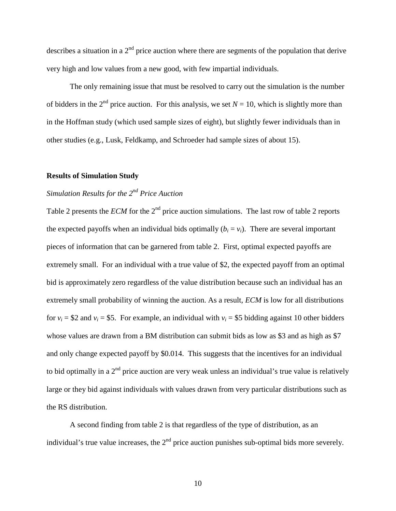describes a situation in a  $2<sup>nd</sup>$  price auction where there are segments of the population that derive very high and low values from a new good, with few impartial individuals.

The only remaining issue that must be resolved to carry out the simulation is the number of bidders in the 2<sup>nd</sup> price auction. For this analysis, we set  $N = 10$ , which is slightly more than in the Hoffman study (which used sample sizes of eight), but slightly fewer individuals than in other studies (e.g., Lusk, Feldkamp, and Schroeder had sample sizes of about 15).

#### **Results of Simulation Study**

## *Simulation Results for the 2nd Price Auction*

Table 2 presents the *ECM* for the  $2<sup>nd</sup>$  price auction simulations. The last row of table 2 reports the expected payoffs when an individual bids optimally  $(b_i = v_i)$ . There are several important pieces of information that can be garnered from table 2. First, optimal expected payoffs are extremely small. For an individual with a true value of \$2, the expected payoff from an optimal bid is approximately zero regardless of the value distribution because such an individual has an extremely small probability of winning the auction. As a result, *ECM* is low for all distributions for  $v_i = $2$  and  $v_i = $5$ . For example, an individual with  $v_i = $5$  bidding against 10 other bidders whose values are drawn from a BM distribution can submit bids as low as \$3 and as high as \$7 and only change expected payoff by \$0.014. This suggests that the incentives for an individual to bid optimally in a  $2<sup>nd</sup>$  price auction are very weak unless an individual's true value is relatively large or they bid against individuals with values drawn from very particular distributions such as the RS distribution.

A second finding from table 2 is that regardless of the type of distribution, as an individual's true value increases, the  $2<sup>nd</sup>$  price auction punishes sub-optimal bids more severely.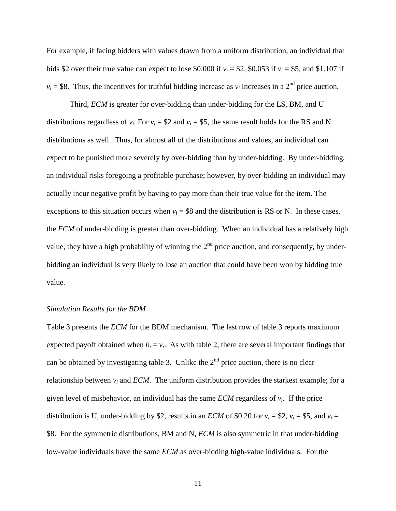For example, if facing bidders with values drawn from a uniform distribution, an individual that bids \$2 over their true value can expect to lose \$0.000 if  $v_i = $2$ , \$0.053 if  $v_i = $5$ , and \$1.107 if  $v_i = $8$ . Thus, the incentives for truthful bidding increase as  $v_i$  increases in a 2<sup>nd</sup> price auction.

Third, *ECM* is greater for over-bidding than under-bidding for the LS, BM, and U distributions regardless of  $v_i$ . For  $v_i = $2$  and  $v_i = $5$ , the same result holds for the RS and N distributions as well. Thus, for almost all of the distributions and values, an individual can expect to be punished more severely by over-bidding than by under-bidding. By under-bidding, an individual risks foregoing a profitable purchase; however, by over-bidding an individual may actually incur negative profit by having to pay more than their true value for the item. The exceptions to this situation occurs when  $v_i = $8$  and the distribution is RS or N. In these cases, the *ECM* of under-bidding is greater than over-bidding. When an individual has a relatively high value, they have a high probability of winning the  $2<sup>nd</sup>$  price auction, and consequently, by underbidding an individual is very likely to lose an auction that could have been won by bidding true value.

#### *Simulation Results for the BDM*

Table 3 presents the *ECM* for the BDM mechanism. The last row of table 3 reports maximum expected payoff obtained when  $b_i = v_i$ . As with table 2, there are several important findings that can be obtained by investigating table 3. Unlike the  $2<sup>nd</sup>$  price auction, there is no clear relationship between  $v_i$  and *ECM*. The uniform distribution provides the starkest example; for a given level of misbehavior, an individual has the same *ECM* regardless of  $v_i$ . If the price distribution is U, under-bidding by \$2, results in an *ECM* of \$0.20 for  $v_i = $2$ ,  $v_i = $5$ , and  $v_i =$ \$8. For the symmetric distributions, BM and N, *ECM* is also symmetric in that under-bidding low-value individuals have the same *ECM* as over-bidding high-value individuals. For the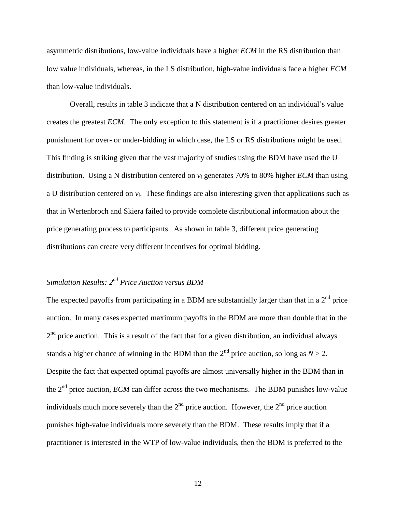asymmetric distributions, low-value individuals have a higher *ECM* in the RS distribution than low value individuals, whereas, in the LS distribution, high-value individuals face a higher *ECM* than low-value individuals.

Overall, results in table 3 indicate that a N distribution centered on an individual's value creates the greatest *ECM*. The only exception to this statement is if a practitioner desires greater punishment for over- or under-bidding in which case, the LS or RS distributions might be used. This finding is striking given that the vast majority of studies using the BDM have used the U distribution. Using a N distribution centered on *vi* generates 70% to 80% higher *ECM* than using a U distribution centered on  $v_i$ . These findings are also interesting given that applications such as that in Wertenbroch and Skiera failed to provide complete distributional information about the price generating process to participants. As shown in table 3, different price generating distributions can create very different incentives for optimal bidding.

## *Simulation Results: 2nd Price Auction versus BDM*

The expected payoffs from participating in a BDM are substantially larger than that in a  $2<sup>nd</sup>$  price auction. In many cases expected maximum payoffs in the BDM are more than double that in the  $2<sup>nd</sup>$  price auction. This is a result of the fact that for a given distribution, an individual always stands a higher chance of winning in the BDM than the  $2<sup>nd</sup>$  price auction, so long as  $N > 2$ . Despite the fact that expected optimal payoffs are almost universally higher in the BDM than in the 2<sup>nd</sup> price auction, *ECM* can differ across the two mechanisms. The BDM punishes low-value individuals much more severely than the  $2<sup>nd</sup>$  price auction. However, the  $2<sup>nd</sup>$  price auction punishes high-value individuals more severely than the BDM. These results imply that if a practitioner is interested in the WTP of low-value individuals, then the BDM is preferred to the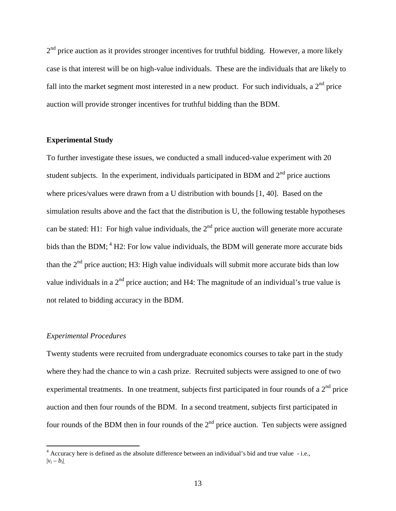$2<sup>nd</sup>$  price auction as it provides stronger incentives for truthful bidding. However, a more likely case is that interest will be on high-value individuals. These are the individuals that are likely to fall into the market segment most interested in a new product. For such individuals, a  $2<sup>nd</sup>$  price auction will provide stronger incentives for truthful bidding than the BDM.

#### **Experimental Study**

To further investigate these issues, we conducted a small induced-value experiment with 20 student subjects. In the experiment, individuals participated in BDM and  $2<sup>nd</sup>$  price auctions where prices/values were drawn from a U distribution with bounds [1, 40]. Based on the simulation results above and the fact that the distribution is U, the following testable hypotheses can be stated: H1: For high value individuals, the  $2<sup>nd</sup>$  price auction will generate more accurate bids than the BDM; <sup>4</sup> H2: For low value individuals, the BDM will generate more accurate bids than the  $2<sup>nd</sup>$  price auction; H3: High value individuals will submit more accurate bids than low value individuals in a  $2<sup>nd</sup>$  price auction; and H4: The magnitude of an individual's true value is not related to bidding accuracy in the BDM.

#### *Experimental Procedures*

Twenty students were recruited from undergraduate economics courses to take part in the study where they had the chance to win a cash prize. Recruited subjects were assigned to one of two experimental treatments. In one treatment, subjects first participated in four rounds of a  $2<sup>nd</sup>$  price auction and then four rounds of the BDM. In a second treatment, subjects first participated in four rounds of the BDM then in four rounds of the  $2<sup>nd</sup>$  price auction. Ten subjects were assigned

 4 Accuracy here is defined as the absolute difference between an individual's bid and true value - i.e.,  $|v_i - b_i|$ .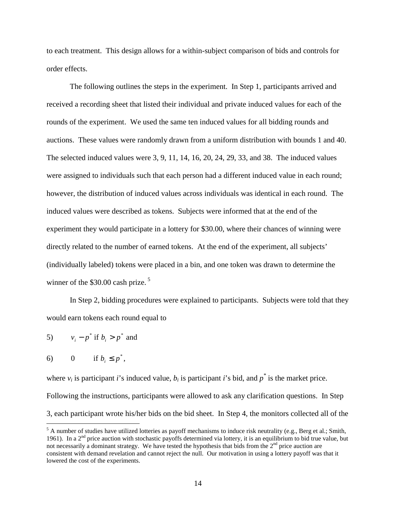to each treatment. This design allows for a within-subject comparison of bids and controls for order effects.

 The following outlines the steps in the experiment. In Step 1, participants arrived and received a recording sheet that listed their individual and private induced values for each of the rounds of the experiment. We used the same ten induced values for all bidding rounds and auctions. These values were randomly drawn from a uniform distribution with bounds 1 and 40. The selected induced values were 3, 9, 11, 14, 16, 20, 24, 29, 33, and 38. The induced values were assigned to individuals such that each person had a different induced value in each round; however, the distribution of induced values across individuals was identical in each round. The induced values were described as tokens. Subjects were informed that at the end of the experiment they would participate in a lottery for \$30.00, where their chances of winning were directly related to the number of earned tokens. At the end of the experiment, all subjects' (individually labeled) tokens were placed in a bin, and one token was drawn to determine the winner of the \$30.00 cash prize.<sup>5</sup>

 In Step 2, bidding procedures were explained to participants. Subjects were told that they would earn tokens each round equal to

5)  $v_i - p^*$  if  $b_i > p^*$  and

6) 0 if  $b_i \leq p^*$ ,

where  $v_i$  is participant *i*'s induced value,  $b_i$  is participant *i*'s bid, and  $p^*$  is the market price. Following the instructions, participants were allowed to ask any clarification questions. In Step 3, each participant wrote his/her bids on the bid sheet. In Step 4, the monitors collected all of the

<sup>&</sup>lt;sup>5</sup> A number of studies have utilized lotteries as payoff mechanisms to induce risk neutrality (e.g., Berg et al.; Smith, 1961). In a  $2<sup>nd</sup>$  price auction with stochastic payoffs determined via lottery, it is an equilibrium to bid true value, but not necessarily a dominant strategy. We have tested the hypothesis that bids from the  $2<sup>nd</sup>$  price auction are consistent with demand revelation and cannot reject the null. Our motivation in using a lottery payoff was that it lowered the cost of the experiments.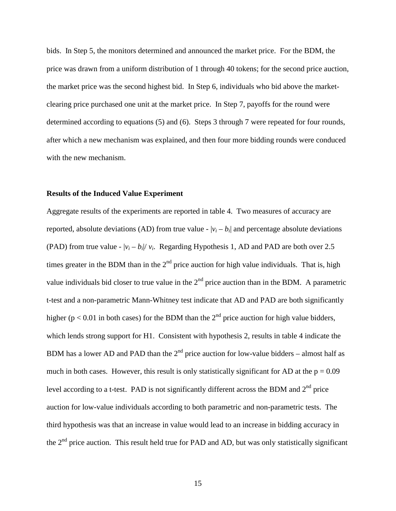bids. In Step 5, the monitors determined and announced the market price. For the BDM, the price was drawn from a uniform distribution of 1 through 40 tokens; for the second price auction, the market price was the second highest bid. In Step 6, individuals who bid above the marketclearing price purchased one unit at the market price. In Step 7, payoffs for the round were determined according to equations (5) and (6). Steps 3 through 7 were repeated for four rounds, after which a new mechanism was explained, and then four more bidding rounds were conduced with the new mechanism.

#### **Results of the Induced Value Experiment**

Aggregate results of the experiments are reported in table 4. Two measures of accuracy are reported, absolute deviations (AD) from true value  $- |v_i - b_i|$  and percentage absolute deviations (PAD) from true value -  $|v_i - b_i|/v_i$ . Regarding Hypothesis 1, AD and PAD are both over 2.5 times greater in the BDM than in the  $2<sup>nd</sup>$  price auction for high value individuals. That is, high value individuals bid closer to true value in the  $2<sup>nd</sup>$  price auction than in the BDM. A parametric t-test and a non-parametric Mann-Whitney test indicate that AD and PAD are both significantly higher ( $p < 0.01$  in both cases) for the BDM than the 2<sup>nd</sup> price auction for high value bidders, which lends strong support for H1. Consistent with hypothesis 2, results in table 4 indicate the BDM has a lower AD and PAD than the  $2<sup>nd</sup>$  price auction for low-value bidders – almost half as much in both cases. However, this result is only statistically significant for AD at the  $p = 0.09$ level according to a t-test. PAD is not significantly different across the BDM and  $2<sup>nd</sup>$  price auction for low-value individuals according to both parametric and non-parametric tests. The third hypothesis was that an increase in value would lead to an increase in bidding accuracy in the  $2<sup>nd</sup>$  price auction. This result held true for PAD and AD, but was only statistically significant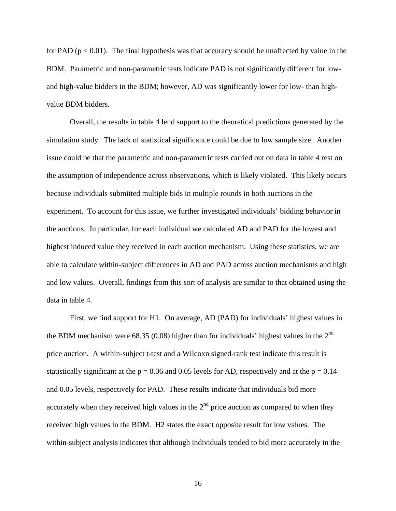for PAD ( $p < 0.01$ ). The final hypothesis was that accuracy should be unaffected by value in the BDM. Parametric and non-parametric tests indicate PAD is not significantly different for lowand high-value bidders in the BDM; however, AD was significantly lower for low- than highvalue BDM bidders.

 Overall, the results in table 4 lend support to the theoretical predictions generated by the simulation study. The lack of statistical significance could be due to low sample size. Another issue could be that the parametric and non-parametric tests carried out on data in table 4 rest on the assumption of independence across observations, which is likely violated. This likely occurs because individuals submitted multiple bids in multiple rounds in both auctions in the experiment. To account for this issue, we further investigated individuals' bidding behavior in the auctions. In particular, for each individual we calculated AD and PAD for the lowest and highest induced value they received in each auction mechanism. Using these statistics, we are able to calculate within-subject differences in AD and PAD across auction mechanisms and high and low values. Overall, findings from this sort of analysis are similar to that obtained using the data in table 4.

First, we find support for H1. On average, AD (PAD) for individuals' highest values in the BDM mechanism were 68.35 (0.08) higher than for individuals' highest values in the  $2<sup>nd</sup>$ price auction. A within-subject t-test and a Wilcoxn signed-rank test indicate this result is statistically significant at the  $p = 0.06$  and 0.05 levels for AD, respectively and at the  $p = 0.14$ and 0.05 levels, respectively for PAD. These results indicate that individuals bid more accurately when they received high values in the  $2<sup>nd</sup>$  price auction as compared to when they received high values in the BDM. H2 states the exact opposite result for low values. The within-subject analysis indicates that although individuals tended to bid more accurately in the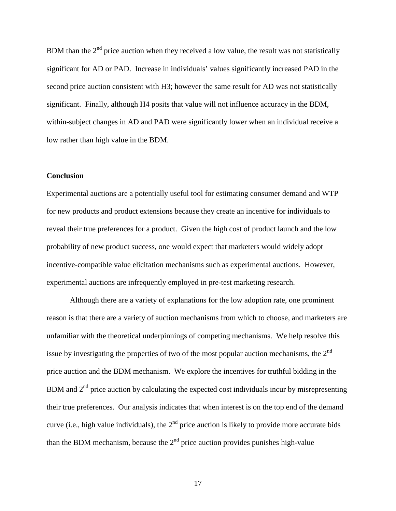BDM than the  $2<sup>nd</sup>$  price auction when they received a low value, the result was not statistically significant for AD or PAD. Increase in individuals' values significantly increased PAD in the second price auction consistent with H3; however the same result for AD was not statistically significant. Finally, although H4 posits that value will not influence accuracy in the BDM, within-subject changes in AD and PAD were significantly lower when an individual receive a low rather than high value in the BDM.

#### **Conclusion**

Experimental auctions are a potentially useful tool for estimating consumer demand and WTP for new products and product extensions because they create an incentive for individuals to reveal their true preferences for a product. Given the high cost of product launch and the low probability of new product success, one would expect that marketers would widely adopt incentive-compatible value elicitation mechanisms such as experimental auctions. However, experimental auctions are infrequently employed in pre-test marketing research.

Although there are a variety of explanations for the low adoption rate, one prominent reason is that there are a variety of auction mechanisms from which to choose, and marketers are unfamiliar with the theoretical underpinnings of competing mechanisms. We help resolve this issue by investigating the properties of two of the most popular auction mechanisms, the  $2<sup>nd</sup>$ price auction and the BDM mechanism. We explore the incentives for truthful bidding in the BDM and  $2<sup>nd</sup>$  price auction by calculating the expected cost individuals incur by misrepresenting their true preferences. Our analysis indicates that when interest is on the top end of the demand curve (i.e., high value individuals), the  $2<sup>nd</sup>$  price auction is likely to provide more accurate bids than the BDM mechanism, because the  $2<sup>nd</sup>$  price auction provides punishes high-value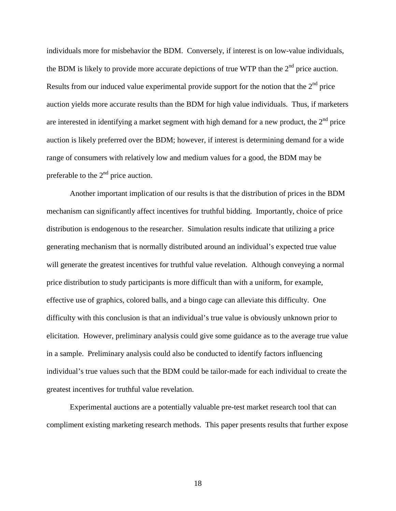individuals more for misbehavior the BDM. Conversely, if interest is on low-value individuals, the BDM is likely to provide more accurate depictions of true WTP than the  $2<sup>nd</sup>$  price auction. Results from our induced value experimental provide support for the notion that the  $2<sup>nd</sup>$  price auction yields more accurate results than the BDM for high value individuals. Thus, if marketers are interested in identifying a market segment with high demand for a new product, the  $2<sup>nd</sup>$  price auction is likely preferred over the BDM; however, if interest is determining demand for a wide range of consumers with relatively low and medium values for a good, the BDM may be preferable to the  $2<sup>nd</sup>$  price auction.

Another important implication of our results is that the distribution of prices in the BDM mechanism can significantly affect incentives for truthful bidding. Importantly, choice of price distribution is endogenous to the researcher. Simulation results indicate that utilizing a price generating mechanism that is normally distributed around an individual's expected true value will generate the greatest incentives for truthful value revelation. Although conveying a normal price distribution to study participants is more difficult than with a uniform, for example, effective use of graphics, colored balls, and a bingo cage can alleviate this difficulty. One difficulty with this conclusion is that an individual's true value is obviously unknown prior to elicitation. However, preliminary analysis could give some guidance as to the average true value in a sample. Preliminary analysis could also be conducted to identify factors influencing individual's true values such that the BDM could be tailor-made for each individual to create the greatest incentives for truthful value revelation.

Experimental auctions are a potentially valuable pre-test market research tool that can compliment existing marketing research methods. This paper presents results that further expose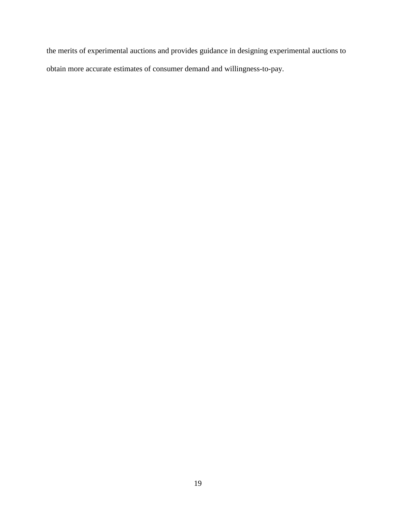the merits of experimental auctions and provides guidance in designing experimental auctions to obtain more accurate estimates of consumer demand and willingness-to-pay.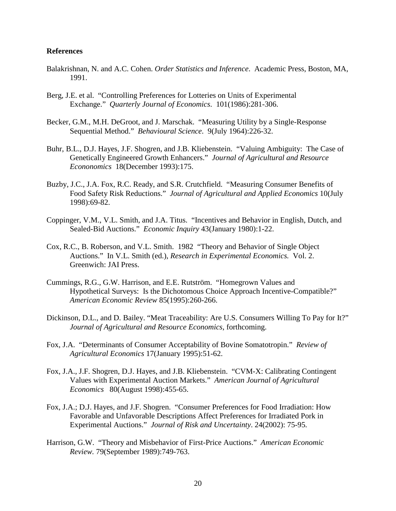#### **References**

- Balakrishnan, N. and A.C. Cohen. *Order Statistics and Inference*. Academic Press, Boston, MA, 1991.
- Berg, J.E. et al. "Controlling Preferences for Lotteries on Units of Experimental Exchange." *Quarterly Journal of Economics*. 101(1986):281-306.
- Becker, G.M., M.H. DeGroot, and J. Marschak. "Measuring Utility by a Single-Response Sequential Method." *Behavioural Science*. 9(July 1964):226-32.
- Buhr, B.L., D.J. Hayes, J.F. Shogren, and J.B. Kliebenstein. "Valuing Ambiguity: The Case of Genetically Engineered Growth Enhancers." *Journal of Agricultural and Resource Econonomics* 18(December 1993):175.
- Buzby, J.C., J.A. Fox, R.C. Ready, and S.R. Crutchfield. "Measuring Consumer Benefits of Food Safety Risk Reductions." *Journal of Agricultural and Applied Economics* 10(July 1998):69-82.
- Coppinger, V.M., V.L. Smith, and J.A. Titus. "Incentives and Behavior in English, Dutch, and Sealed-Bid Auctions." *Economic Inquiry* 43(January 1980):1-22.
- Cox, R.C., B. Roberson, and V.L. Smith. 1982 "Theory and Behavior of Single Object Auctions." In V.L. Smith (ed.), *Research in Experimental Economics.* Vol. 2. Greenwich: JAI Press.
- Cummings, R.G., G.W. Harrison, and E.E. Rutström. "Homegrown Values and Hypothetical Surveys: Is the Dichotomous Choice Approach Incentive-Compatible?" *American Economic Review* 85(1995):260-266.
- Dickinson, D.L., and D. Bailey. "Meat Traceability: Are U.S. Consumers Willing To Pay for It?" *Journal of Agricultural and Resource Economics*, forthcoming.
- Fox, J.A. "Determinants of Consumer Acceptability of Bovine Somatotropin." *Review of Agricultural Economics* 17(January 1995):51-62.
- Fox, J.A., J.F. Shogren, D.J. Hayes, and J.B. Kliebenstein. "CVM-X: Calibrating Contingent Values with Experimental Auction Markets." *American Journal of Agricultural Economics* 80(August 1998):455-65.
- Fox, J.A.; D.J. Hayes, and J.F. Shogren. "Consumer Preferences for Food Irradiation: How Favorable and Unfavorable Descriptions Affect Preferences for Irradiated Pork in Experimental Auctions." *Journal of Risk and Uncertainty*. 24(2002): 75-95*.*
- Harrison, G.W. "Theory and Misbehavior of First-Price Auctions." *American Economic Review.* 79(September 1989):749-763.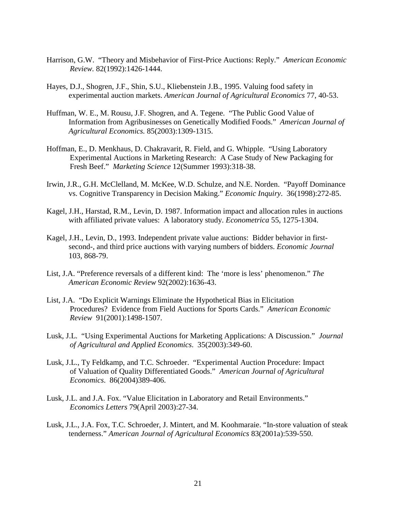- Harrison, G.W. "Theory and Misbehavior of First-Price Auctions: Reply." *American Economic Review.* 82(1992):1426-1444.
- Hayes, D.J., Shogren, J.F., Shin, S.U., Kliebenstein J.B., 1995. Valuing food safety in experimental auction markets. *American Journal of Agricultural Economics* 77, 40-53.
- Huffman, W. E., M. Rousu, J.F. Shogren, and A. Tegene. "The Public Good Value of Information from Agribusinesses on Genetically Modified Foods." *American Journal of Agricultural Economics.* 85(2003):1309-1315.
- Hoffman, E., D. Menkhaus, D. Chakravarit, R. Field, and G. Whipple. "Using Laboratory Experimental Auctions in Marketing Research: A Case Study of New Packaging for Fresh Beef." *Marketing Science* 12(Summer 1993):318-38.
- Irwin, J.R., G.H. McClelland, M. McKee, W.D. Schulze, and N.E. Norden. "Payoff Dominance vs. Cognitive Transparency in Decision Making." *Economic Inquiry*. 36(1998):272-85.
- Kagel, J.H., Harstad, R.M., Levin, D. 1987. Information impact and allocation rules in auctions with affiliated private values: A laboratory study. *Econometrica* 55, 1275-1304.
- Kagel, J.H., Levin, D., 1993. Independent private value auctions: Bidder behavior in firstsecond-, and third price auctions with varying numbers of bidders. *Economic Journal* 103, 868-79.
- List, J.A. "Preference reversals of a different kind: The 'more is less' phenomenon." *The American Economic Review* 92(2002):1636-43.
- List, J.A. "Do Explicit Warnings Eliminate the Hypothetical Bias in Elicitation Procedures? Evidence from Field Auctions for Sports Cards." *American Economic Review* 91(2001):1498-1507.
- Lusk, J.L. "Using Experimental Auctions for Marketing Applications: A Discussion." *Journal of Agricultural and Applied Economics*. 35(2003):349-60.
- Lusk, J.L., Ty Feldkamp, and T.C. Schroeder. "Experimental Auction Procedure: Impact of Valuation of Quality Differentiated Goods." *American Journal of Agricultural Economics*. 86(2004)389-406.
- Lusk, J.L. and J.A. Fox. "Value Elicitation in Laboratory and Retail Environments." *Economics Letters* 79(April 2003):27-34.
- Lusk, J.L., J.A. Fox, T.C. Schroeder, J. Mintert, and M. Koohmaraie. "In-store valuation of steak tenderness." *American Journal of Agricultural Economics* 83(2001a):539-550.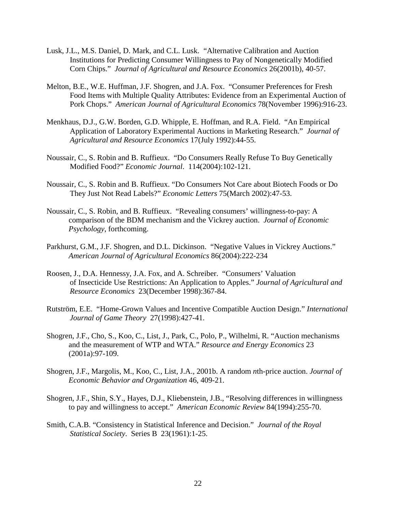- Lusk, J.L., M.S. Daniel, D. Mark, and C.L. Lusk. "Alternative Calibration and Auction Institutions for Predicting Consumer Willingness to Pay of Nongenetically Modified Corn Chips." *Journal of Agricultural and Resource Economics* 26(2001b), 40-57.
- Melton, B.E., W.E. Huffman, J.F. Shogren, and J.A. Fox. "Consumer Preferences for Fresh Food Items with Multiple Quality Attributes: Evidence from an Experimental Auction of Pork Chops." *American Journal of Agricultural Economics* 78(November 1996):916-23.
- Menkhaus, D.J., G.W. Borden, G.D. Whipple, E. Hoffman, and R.A. Field. "An Empirical Application of Laboratory Experimental Auctions in Marketing Research." *Journal of Agricultural and Resource Economics* 17(July 1992):44-55.
- Noussair, C., S. Robin and B. Ruffieux. "Do Consumers Really Refuse To Buy Genetically Modified Food?" *Economic Journal*. 114(2004):102-121.
- Noussair, C., S. Robin and B. Ruffieux. "Do Consumers Not Care about Biotech Foods or Do They Just Not Read Labels?" *Economic Letters* 75(March 2002):47-53.
- Noussair, C., S. Robin, and B. Ruffieux. "Revealing consumers' willingness-to-pay: A comparison of the BDM mechanism and the Vickrey auction. *Journal of Economic Psychology*, forthcoming.
- Parkhurst, G.M., J.F. Shogren, and D.L. Dickinson. "Negative Values in Vickrey Auctions." *American Journal of Agricultural Economics* 86(2004):222-234
- Roosen, J., D.A. Hennessy, J.A. Fox, and A. Schreiber. "Consumers' Valuation of Insecticide Use Restrictions: An Application to Apples." *Journal of Agricultural and Resource Economics* 23(December 1998):367-84.
- Rutström, E.E. "Home-Grown Values and Incentive Compatible Auction Design." *International Journal of Game Theory* 27(1998):427-41.
- Shogren, J.F., Cho, S., Koo, C., List, J., Park, C., Polo, P., Wilhelmi, R. "Auction mechanisms and the measurement of WTP and WTA." *Resource and Energy Economics* 23 (2001a):97-109.
- Shogren, J.F., Margolis, M., Koo, C., List, J.A., 2001b. A random *n*th-price auction. *Journal of Economic Behavior and Organization* 46, 409-21.
- Shogren, J.F., Shin, S.Y., Hayes, D.J., Kliebenstein, J.B., "Resolving differences in willingness to pay and willingness to accept." *American Economic Review* 84(1994):255-70.
- Smith, C.A.B. "Consistency in Statistical Inference and Decision." *Journal of the Royal Statistical Society*. Series B 23(1961):1-25.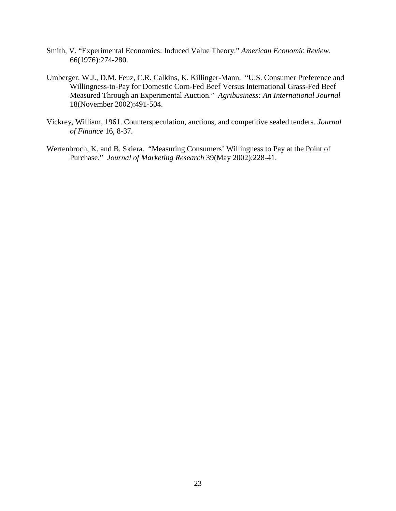- Smith, V. "Experimental Economics: Induced Value Theory." *American Economic Review*. 66(1976):274-280.
- Umberger, W.J., D.M. Feuz, C.R. Calkins, K. Killinger-Mann. "U.S. Consumer Preference and Willingness-to-Pay for Domestic Corn-Fed Beef Versus International Grass-Fed Beef Measured Through an Experimental Auction." *Agribusiness: An International Journal* 18(November 2002):491-504.
- Vickrey, William, 1961. Counterspeculation, auctions, and competitive sealed tenders. *Journal of Finance* 16, 8-37.
- Wertenbroch, K. and B. Skiera. "Measuring Consumers' Willingness to Pay at the Point of Purchase." *Journal of Marketing Research* 39(May 2002):228-41.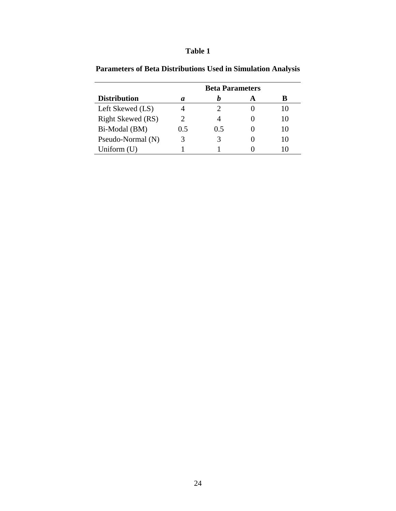|                     | <b>Beta Parameters</b> |     |  |       |  |  |  |  |  |
|---------------------|------------------------|-----|--|-------|--|--|--|--|--|
| <b>Distribution</b> | a                      |     |  | В     |  |  |  |  |  |
| Left Skewed (LS)    |                        |     |  | I ( ) |  |  |  |  |  |
| Right Skewed (RS)   | 2                      |     |  | 10    |  |  |  |  |  |
| Bi-Modal (BM)       | 0.5                    | 0.5 |  | 10    |  |  |  |  |  |
| Pseudo-Normal (N)   |                        | 3   |  | 10    |  |  |  |  |  |
| Uniform $(U)$       |                        |     |  |       |  |  |  |  |  |

**Parameters of Beta Distributions Used in Simulation Analysis**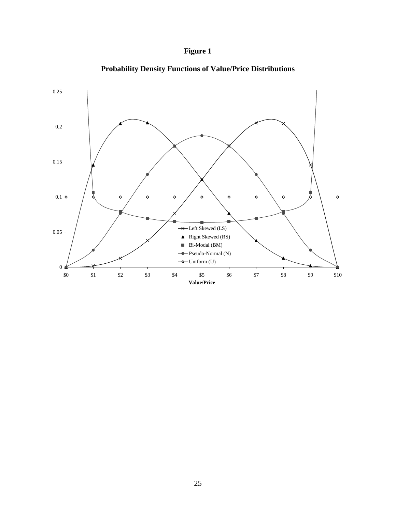## **Figure 1**



**Probability Density Functions of Value/Price Distributions**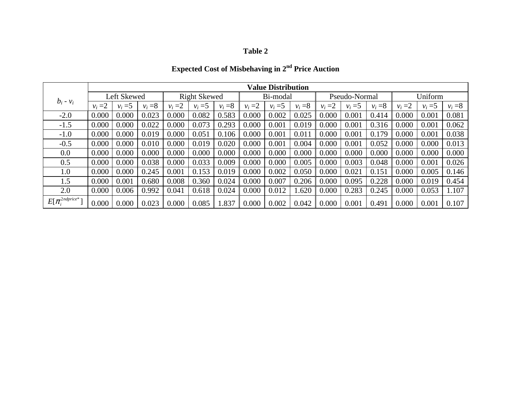## **Expected Cost of Misbehaving in 2nd Price Auction**

|                                    | <b>Value Distribution</b> |           |                     |           |           |           |           |           |               |           |           |           |           |           |           |
|------------------------------------|---------------------------|-----------|---------------------|-----------|-----------|-----------|-----------|-----------|---------------|-----------|-----------|-----------|-----------|-----------|-----------|
|                                    | Left Skewed               |           | <b>Right Skewed</b> |           |           | Bi-modal  |           |           | Pseudo-Normal |           |           | Uniform   |           |           |           |
| $b_i - v_i$                        | $v_i = 2$                 | $v_i = 5$ | $v_i = 8$           | $v_i = 2$ | $v_i = 5$ | $v_i = 8$ | $v_i = 2$ | $v_i = 5$ | $v_i = 8$     | $v_i = 2$ | $v_i = 5$ | $v_i = 8$ | $v_i = 2$ | $v_i = 5$ | $v_i = 8$ |
| $-2.0$                             | 0.000                     | 0.000     | 0.023               | 0.000     | 0.082     | 0.583     | 0.000     | 0.002     | 0.025         | 0.000     | 0.001     | 0.414     | 0.000     | 0.001     | 0.081     |
| $-1.5$                             | 0.000                     | 0.000     | 0.022               | 0.000     | 0.073     | 0.293     | 0.000     | 0.001     | 0.019         | 0.000     | 0.001     | 0.316     | 0.000     | 0.001     | 0.062     |
| $-1.0$                             | 0.000                     | 0.000     | 0.019               | 0.000     | 0.051     | 0.106     | 0.000     | 0.001     | 0.011         | 0.000     | 0.001     | 0.179     | 0.000     | 0.001     | 0.038     |
| $-0.5$                             | 0.000                     | 0.000     | 0.010               | 0.000     | 0.019     | 0.020     | 0.000     | 0.001     | 0.004         | 0.000     | 0.001     | 0.052     | 0.000     | 0.000     | 0.013     |
| 0.0                                | 0.000                     | 0.000     | 0.000               | 0.000     | 0.000     | 0.000     | 0.000     | 0.000     | 0.000         | 0.000     | 0.000     | 0.000     | 0.000     | 0.000     | 0.000     |
| 0.5                                | 0.000                     | 0.000     | 0.038               | 0.000     | 0.033     | 0.009     | 0.000     | 0.000     | 0.005         | 0.000     | 0.003     | 0.048     | 0.000     | 0.001     | 0.026     |
| 1.0                                | 0.000                     | 0.000     | 0.245               | 0.001     | 0.153     | 0.019     | 0.000     | 0.002     | 0.050         | 0.000     | 0.021     | 0.151     | 0.000     | 0.005     | 0.146     |
| 1.5                                | 0.000                     | 0.001     | 0.680               | 0.008     | 0.360     | 0.024     | 0.000     | 0.007     | 0.206         | 0.000     | 0.095     | 0.228     | 0.000     | 0.019     | 0.454     |
| 2.0                                | 0.000                     | 0.006     | 0.992               | 0.041     | 0.618     | 0.024     | 0.000     | 0.012     | .620          | 0.000     | 0.283     | 0.245     | 0.000     | 0.053     | 1.107     |
| 2ndprice* $\mathbf{1}$<br>$E[\pi]$ | 0.000                     | 0.000     | 0.023               | 0.000     | 0.085     | 1.837     | 0.000     | 0.002     | 0.042         | 0.000     | 0.001     | 0.491     | 0.000     | 0.001     | 0.107     |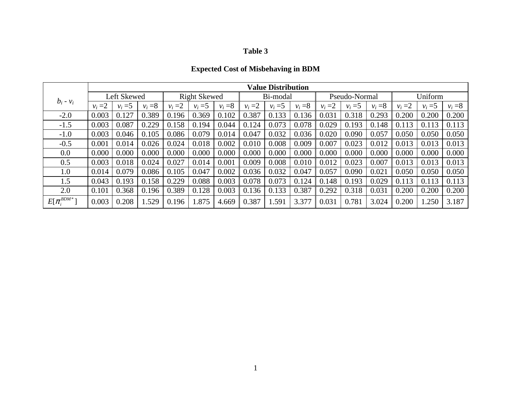## **Expected Cost of Misbehaving in BDM**

|                        | <b>Value Distribution</b> |           |                     |           |           |           |           |           |               |           |           |           |           |           |           |
|------------------------|---------------------------|-----------|---------------------|-----------|-----------|-----------|-----------|-----------|---------------|-----------|-----------|-----------|-----------|-----------|-----------|
|                        | Left Skewed               |           | <b>Right Skewed</b> |           |           | Bi-modal  |           |           | Pseudo-Normal |           |           | Uniform   |           |           |           |
| $b_i - v_i$            | $v_i = 2$                 | $v_i = 5$ | $v_i = 8$           | $v_i = 2$ | $v_i = 5$ | $v_i = 8$ | $v_i = 2$ | $v_i = 5$ | $v_i = 8$     | $v_i = 2$ | $v_i = 5$ | $v_i = 8$ | $v_i = 2$ | $v_i = 5$ | $v_i = 8$ |
| $-2.0$                 | 0.003                     | 0.127     | 0.389               | 0.196     | 0.369     | 0.102     | 0.387     | 0.133     | 0.136         | 0.031     | 0.318     | 0.293     | 0.200     | 0.200     | 0.200     |
| $-1.5$                 | 0.003                     | 0.087     | 0.229               | 0.158     | 0.194     | 0.044     | 0.124     | 0.073     | 0.078         | 0.029     | 0.193     | 0.148     | 0.113     | 0.113     | 0.113     |
| $-1.0$                 | 0.003                     | 0.046     | 0.105               | 0.086     | 0.079     | 0.014     | 0.047     | 0.032     | 0.036         | 0.020     | 0.090     | 0.057     | 0.050     | 0.050     | 0.050     |
| $-0.5$                 | 0.001                     | 0.014     | 0.026               | 0.024     | 0.018     | 0.002     | 0.010     | 0.008     | 0.009         | 0.007     | 0.023     | 0.012     | 0.013     | 0.013     | 0.013     |
| 0.0                    | 0.000                     | 0.000     | 0.000               | 0.000     | 0.000     | 0.000     | 0.000     | 0.000     | 0.000         | 0.000     | 0.000     | 0.000     | 0.000     | 0.000     | 0.000     |
| 0.5                    | 0.003                     | 0.018     | 0.024               | 0.027     | 0.014     | 0.001     | 0.009     | 0.008     | 0.010         | 0.012     | 0.023     | 0.007     | 0.013     | 0.013     | 0.013     |
| 1.0                    | 0.014                     | 0.079     | 0.086               | 0.105     | 0.047     | 0.002     | 0.036     | 0.032     | 0.047         | 0.057     | 0.090     | 0.021     | 0.050     | 0.050     | 0.050     |
| 1.5                    | 0.043                     | 0.193     | 0.158               | 0.229     | 0.088     | 0.003     | 0.078     | 0.073     | 0.124         | 0.148     | 0.193     | 0.029     | 0.113     | 0.113     | 0.113     |
| 2.0                    | 0.101                     | 0.368     | 0.196               | 0.389     | 0.128     | 0.003     | 0.136     | 0.133     | 0.387         | 0.292     | 0.318     | 0.031     | 0.200     | 0.200     | 0.200     |
| $BDM*$<br>$E[\pi_i^L]$ | 0.003                     | 0.208     | .529                | 0.196     | .875      | 4.669     | 0.387     | 1.591     | 3.377         | 0.031     | 0.781     | 3.024     | 0.200     | 1.250     | 3.187     |